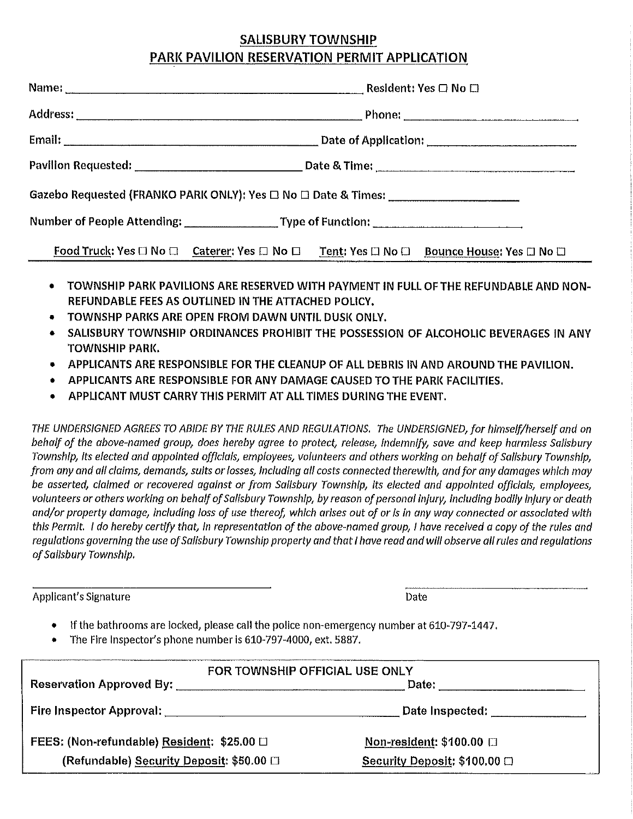#### SALISBURY TOWNSHIP PARK PAVILION RESERVATION PERMIT APPLICATION

| Gazebo Requested (FRANKO PARK ONLY): Yes □ No □ Date & Times: ___________________                                            |  |
|------------------------------------------------------------------------------------------------------------------------------|--|
|                                                                                                                              |  |
| Food Truck: Yes $\Box$ No $\Box$ Caterer: Yes $\Box$ No $\Box$ Tent: Yes $\Box$ No $\Box$ Bounce House: Yes $\Box$ No $\Box$ |  |

- TOWNSHIP PARI< PAVILIONS ARE RESERVED WITH PAYMENT IN FULL OF THE REFUNDABLE AND NON-REFUNDABLE FEES AS OUTLINED IN THE ATTACHED POLICY,
- TOWNSHP PARl<S ARE OPEN FROM DAWN UNTIL DUSI< ONLY,
- SALISBURY TOWNSHIP ORDINANCES PROHIBIT THE POSSESSION OF ALCOHOLIC BEVERAGES IN ANY TOWNSHIP PAR!{,
- APPLICANTS ARE RESPONSIBLE FOR THE CLEANUP OF ALL DEBRIS IN AND AROUND THE PAVILION.
- APPLICANTS ARE RESPONSIBLE FOR ANY DAMAGE CAUSED TO THE PARI( FACILITIES.
- APPLICANT MUST CARRY THIS PERMIT AT ALL TIMES DURING THE EVENT.

*THE UNDERSIGNED AGREES TO ABIDE BY THE RULES AND REGULATIONS. The UNDERSIGNED, for himself/herself and on behalf of the above-named group, does hereby agree to protect, release, Indemnify, save and keep harmless Salisbury Township, Its elected and appointed officials, employees, volunteers and others working on behalf of Salisbury Township, from any and all claims, demands, suits or losses, including all costs connected therewith, and for any damages which may be asserted, claimed or recovered against or from Sallsbury Township, Its elected and appointed offic/als, employees, volunteers or others working on behalf of Sal/sbury Township, by reason of personal injury, including bodily Injury or death and/or property damage, including loss of use thereof, which arises out of or Is In any way connected or associated with this Permit.* I *do hereby certify that, In representation of the above-named group,* I *have received a copy of the rules and regulations governing the use of Salisbury Township property and that* I *have read and will observe all rules and regulations of Sa/Jsbury Township.* 

Applicant's Signature **Date** Date of Contract and Contract of Contract and Contract of Contract and Contract of Contract and Contract of Contract and Contract of Contract and Contract of Contract and Contract of Contract a

- If the bathrooms are locked, please call the police non-emergency number at 610-797-1447.
- The Fire Inspector's phone number is 610-797-4000, ext. 5887.

| FOR TOWNSHIP OFFICIAL USE ONLY                          |                                     |  |
|---------------------------------------------------------|-------------------------------------|--|
| Reservation Approved By: [19] Nesservation Approved By: | Date:                               |  |
|                                                         | Date Inspected: ______________      |  |
| FEES: (Non-refundable) Resident: \$25.00 0              | Non-resident: $$100.00$ $\Box$      |  |
| (Refundable) Security Deposit: \$50.00 □                | Security Deposit: $$100.00 \square$ |  |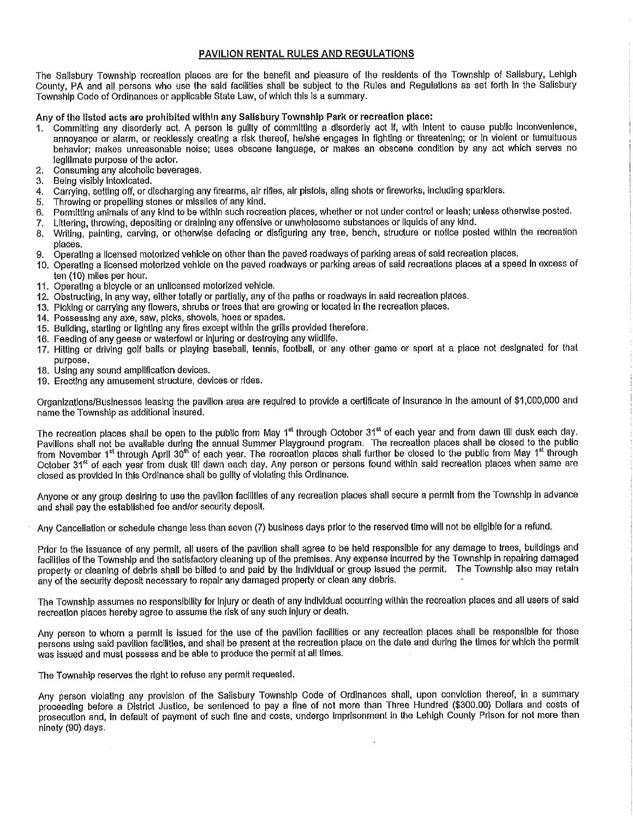#### PAVILION RENTAL RULES AND REGULATIONS

The Salisbury Township recreation places are for the benefit and pleasure of the residents of the Township of Salisbury, Lehigh County, PA and all persons who use the said facllitles shall be subject to the Rules and Regulations as set forth In the Salisbury Township Code of Ordinances or applicable State Law, of which this is a summary.

Any of the listed acts are prohibited within any Salisbury Township Park or recreation place:

- 1. Committing any disorderly act. A person Is guilty of committing a disorderly act If, with Intent to cause public Inconvenience, annoyance or alarm, or recklessly creating a risk thereof, he/she engages in fighting or threatening; or In violent or tumultuous behavior; makes unreasonable noise; uses obscene language, or makes an obscene condition by any act which serves no legltlmate purpose of the actor.
- 2. Consuming any alcoholic beverages.<br>3. Being visibly intoxicated.
- Being visibly intoxicated.
- 4. Carrying, setting off, or discharging any firearms, air rifles, air pistols, sling shots or fireworks, including sparklers.
- 5. Throwing or propelling stones or missiles of any kind.
- 6. Permitting animals of any kind to be within such recreation places, whether or not under control or leash; unless otherwise posted.
- 7. Littering, lhrowing, depositing or draining any offensive or unwholesome substances or liquids of any kind.
- 8. Writing, painting, carving, or otherwise defacing or disfiguring any tree, bench, structure or notice posted within the recreation places.
- 9. Operating a licensed motorized vehicle on other than the paved roadways of parking areas of said recreation places.
- 10. Operating a licensed motorized vehicle on the paved roadways or parking areas of said recreations places at a speed In excess of ten (10) miles per hour.
- 11. Operating a bicycle or an unlicensed motorized vehicle.
- 12. Obstructing, In any way, either totally or partially, any of the paths or roadways In said recreation places.
- 13. Picking or carrying any flowers, shrubs or trees that are growing or located In the recreation places.
- 14. Possessing any axe, saw, picks, shovels, hoes or spades.
- 15. Building, starting or lighting any fires except within the grills provided therefore.
- 16. Feeding of any geese or waterfowl or Injuring or destroying any wildlife.
- 17. Hitting or driving golf balls or playing baseball, tennis, football, or any other game or sport at a place not designated for that purpose.
- 18. Using any sound ampllflcatlon devices.
- 19. Erecting any amusement structure, devices or rides.

Organizations/Businesses leasing the pavilion area are required to provide a certificate of Insurance In the amount of \$1,000,000 and name the Township as additional insured.

The recreation places shall be open to the public from May 1<sup>st</sup> through October 31<sup>st</sup> of each year and from dawn till dusk each day. Pavilions shall not be available during the annual Summer Playground program. The recreation places shall be closed to the public Favillons shall not be available during the annual edition rangeound program. The recreation places shall further the closed to the public from May 1<sup>st</sup> through October 31<sup>et</sup> of each year from dusk till dawn each day. Any person or persons found within said recreation places when same are closed as provided in this Ordinance shall be guilty of violating this Ordinance.

Anyone or any group desiring to use the pavilion facilities of any recreation places shall secure a permit from the Township in advance and shall pay the established fee and/or security deposit.

Any Cancellation or schedule change less than seven (7) business days prior to the reserved time will not be eligible for a refund.

Prior to the issuance of any permit, all users of the pavilion shall agree to be held responsible for any damage to trees, buildings and facilities of the Township and the satisfactory cleaning up of the premises. Any expense incurred by the Township in repairing damaged property or cleaning of debris shall be billed to and paid by the individual or group Issued the permit. The Township also may retain any of the security deposit necessary to repair any damaged property or clean any debris.

The Township assumes no responsibility for Injury or death of any Individual occurring within the recreation places and all users of said recreation places hereby agree to assume the risk of any such injury or death.

Any person to whom a permit is issued for the use of the pavilion facilities or any recreation places shall be responsible for those persons using said pavilion facilities, and shall be present at the recreation place on the date and during the times for which the permit was issued and must possess and be able to produce the permit at all times.

The Township reserves the right to refuse any permit requested.

Any person violating any provision of the Salisbury Township Code of Ordinances shall, upon conviction thereof, In a summary proceeding before a District Justice, be sentenced to pay a fine of not more than Three Hundred (\$300.00) Dollars and costs of prosecution and, In default of payment of such fine and costs, undergo Imprisonment In the Lehigh County Prison for not more than ninety (90) days.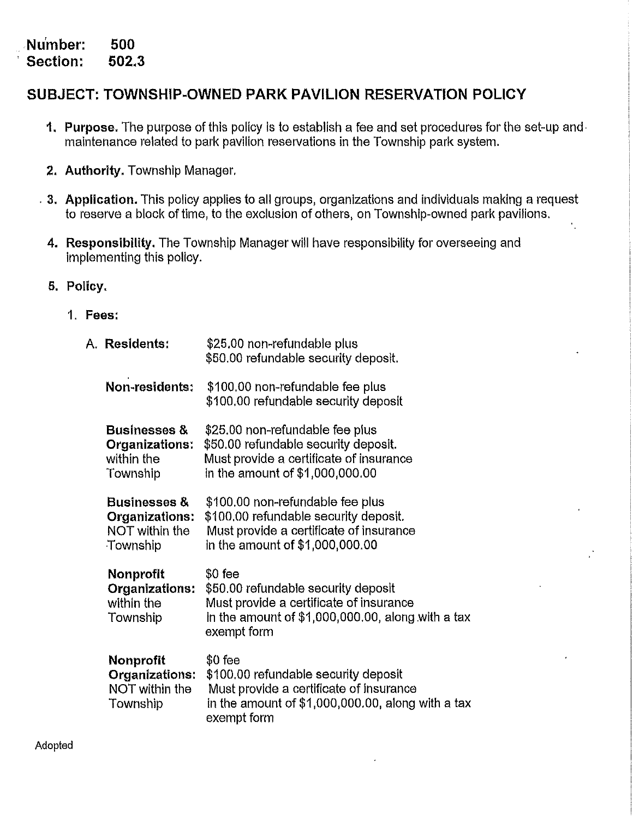. **Nu'mber: Section: 500 502,3** 

#### **SUBJECT: TOWNSHIP-OWNED PARK PAVILION RESERVATION POLICY**

- **1. Purpose.** The purpose of this policy is to establish a fee and set procedures for the set-up and• maintenance related to park pavilion reservations in the Township park system.
- **2. Authority.** Township Manager,
- . **3. Application.** This policy applies to all groups, organizations and individuals making a request to reserve a block of time, to the exclusion of others, on Township-owned park pavilions.
	- **4. Responsibility.** The Township Manager will have responsibility for overseeing and implementing this policy.
	- **5. Polley.** 
		- **1. Fees:**

A. **Residents:** 

| <b>Residents:</b>                                                       | \$25.00 non-refundable plus<br>\$50.00 refundable security deposit.                                                                                               |
|-------------------------------------------------------------------------|-------------------------------------------------------------------------------------------------------------------------------------------------------------------|
| Non-residents:                                                          | \$100.00 non-refundable fee plus<br>\$100.00 refundable security deposit                                                                                          |
| <b>Businesses &amp;</b><br>Organizations:<br>within the<br>Township     | \$25.00 non-refundable fee plus<br>\$50.00 refundable security deposit.<br>Must provide a certificate of insurance<br>in the amount of \$1,000,000.00             |
| <b>Businesses &amp;</b><br>Organizations:<br>NOT within the<br>Township | \$100.00 non-refundable fee plus<br>\$100.00 refundable security deposit.<br>Must provide a certificate of insurance<br>in the amount of \$1,000,000.00           |
| <b>Nonprofit</b><br>Organizations:<br>within the<br>Township            | $$0$ fee<br>\$50.00 refundable security deposit<br>Must provide a certificate of insurance<br>in the amount of $$1,000,000.00$ , along with a tax<br>exempt form  |
| Nonprofit<br>Organizations:<br>NOT within the<br>Township               | $$0$ fee<br>\$100.00 refundable security deposit<br>Must provide a certificate of insurance<br>in the amount of $$1,000,000.00$ , along with a tax<br>exempt form |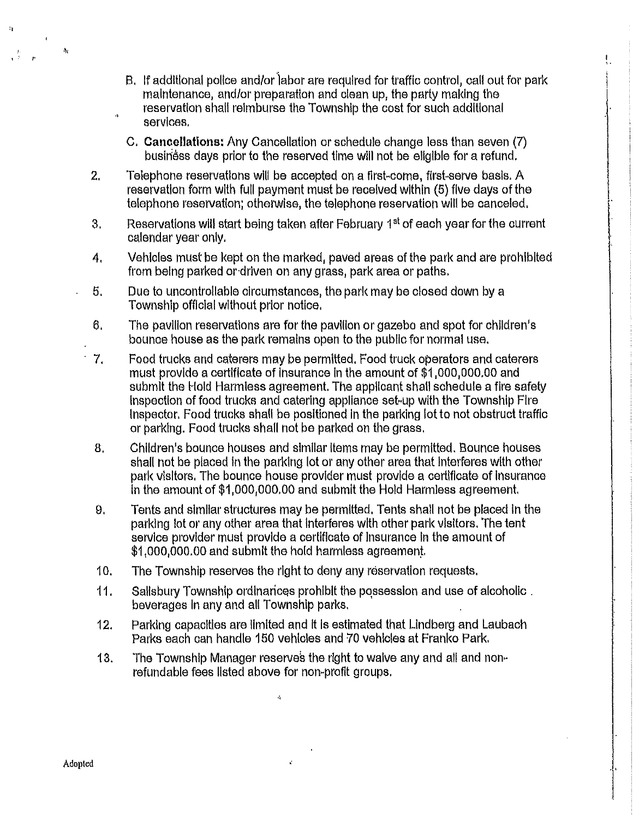B. If additional police and/or labor are required for traffic control, call out for park maintenance, and/or preparation and clean up, the party making the reservation shall reimburse the Township the cost for such additional services,

I ,.

- C. **Cancellations:** Any Cancellation or schedule change less than seven (7) busiriess days prior to the reserved time will not be eligible for a refund.
- 2. Telephone reservations wlll be accepted on a first-come, first-serve basis. A reservation form with full payment must be received within (5) five days of the telephone reservation; otherwise, the telephone reservation will be canceled,
- 3. Reservations will start being taken after February 1<sup>st</sup> of each year for the current calendar year only.
- 4. Vehicles must be kept on the marked, paved areas of the park and are prohibited from being parked or-driven on any grass, park area or paths,
- 5. Due to uncontrollable circumstances, the park may be closed down by a Township official without prior notice,
- 6. The pavlllon reservations are for the pavilion or gazebo and spot for children's bounce house as the park remains open to the public for normal use,
- 7. Food trucks and caterers may be permitted. Food truck operators and caterers must provide a certificate of Insurance In the amount of \$1,000,000.00 and submit the Hold Harmless agreement. The applicant shall schedule a fire safety Inspection of food trucks and catering appliance set-up with the Township Fire Inspector, Food trucks shall be positioned In the parking lot to not obstruct traffic or parking. Food trucks shall not be parked on the grass,
- 8. Children's bounce houses and similar items may be permitted. Bounce houses shall not be placed In the parking lot or any other area that Interferes with other park visitors, The bounce house provider must provide a certificate of Insurance In the amount of \$1,000,000.00 and submit the Hold Harmless agreement.
- 9, Tents and similar structures may be permitted, Tents shall not be placed In the parking lot or any other area that Interferes with other park visitors. The tent service provider must provide a certificate of Insurance In the amount of \$1,000,000.00 and submit the hold harmless agreemen/.
- 10. The Township reserves the right to deny any reservation requests.
- 11. Salisbury Township ordinarices prohibit the possession and use of alcoholic. beverages In any and all Township parks.
- 12. Parking capacities are limited and It Is estimated that Lindberg and Laubach Parks each can handle 150 vehicles and 70 vehicles at Franko Park.
- 13. The Township Manager reserves the right to waive any and all and nonrefundable fees listed above for non-profit groups.

à,

 $\mathcal{C}$ 

 $\mathbf{a}$ 

 $\mathbf{A}_2$ 

J,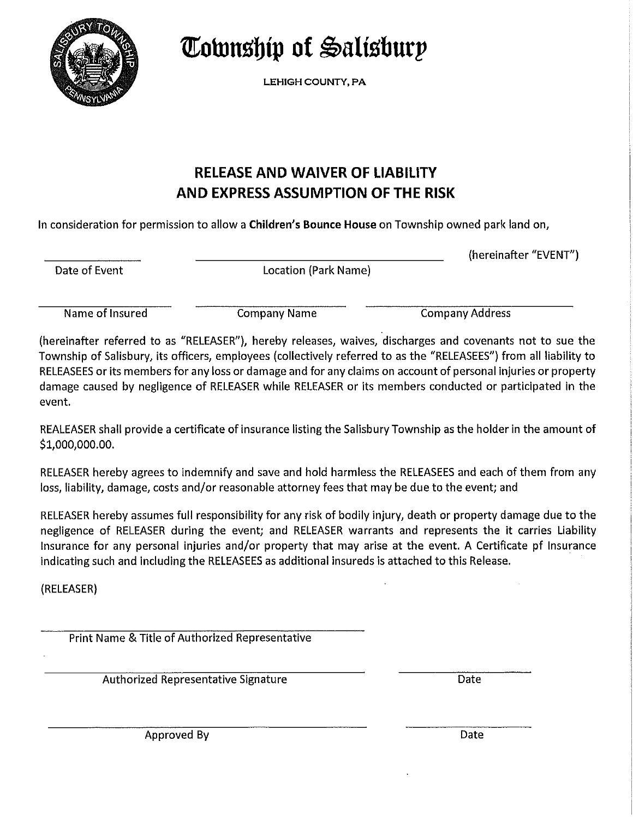

*Cownship of Salisburp* 

LEHIGH COUNTY, PA

# **RELEASE AND WAIVER OF LIABILITY AND EXPRESS ASSUMPTION OF THE RISK**

In consideration for permission to allow a **Children's Bounce House** on Township owned park land on,

Date of Event **Location** (Park Name)

(hereinafter "EVENT")

Name of Insured **Company Name** Company Name Company Address

(hereinafter referred to as "RELEASER"), hereby releases, waives, discharges and covenants not to sue the Township of Salisbury, its officers, employees (collectively referred to as the "RELEASEES") from all liability to RELEASEES or its members for any loss or damage and for any claims on account of personal injuries or property damage caused by negligence of RELEASER while RELEASER or its members conducted or participated in the event.

REALEASER shall provide a certificate of insurance listing the Salisbury Township as the holder in the amount of \$1,000,000.00.

RELEASER hereby agrees to indemnify and save and hold harmless the RELEASEES and each of them from any loss, liability, damage, costs and/or reasonable attorney fees that may be due to the event; and

RELEASER hereby assumes full responsibility for any risk of bodily injury, death or property damage due to the negligence of RELEASER during the event; and RELEASER warrants and represents the it carries Liability Insurance for any personal injuries and/or property that may arise at the event. A Certificate pf Insurance indicating such and including the RELEASEES as additional insureds is attached to this Release.

(RELEASER)

Print Name & Title of Authorized Representative

Authorized Representative Signature **Date** Date

Approved By Date Communications and Date Date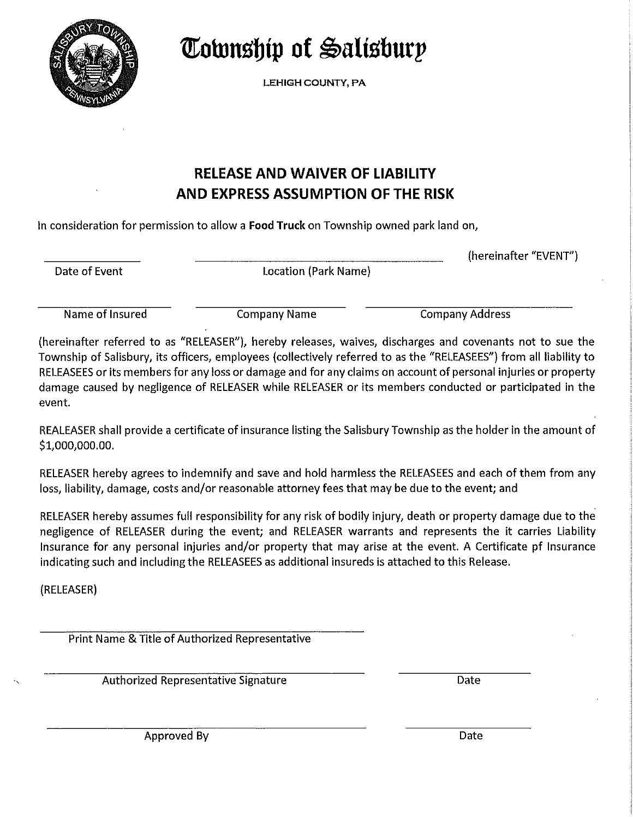

**Township of Salisbury** 

LEHIGH COUNTY, PA

#### **RELEASE AND WAIVER OF LIABILITY AND EXPRESS ASSUMPTION OF THE RISK**

In consideration for permission to allow a **Food Truck** on Township owned park land on,

Date of Event **Location** (Park Name)

(hereinafter "EVENT")

Name of Insured Company Name Company Address

(hereinafter referred to as "RELEASER"), hereby releases, waives, discharges and covenants not to sue the Township of Salisbury, its officers, employees (collectively referred to as the "RELEASEES") from all liability to RELEASEES or its members for any loss or damage and for any claims on account of personal injuries or property damage caused by negligence of RELEASER while RELEASER or its members conducted or participated in the event.

REALEASER shall provide a certificate of insurance listing the Salisbury Township as the holder in the amount of \$1,000,000.00.

RELEASER hereby agrees to indemnify and save and hold harmless the RELEASEES and each of them from any loss, liability, damage, costs and/or reasonable attorney fees that may be due to the event; and

RELEASER hereby assumes full responsibility for any risk of bodily injury, death or property damage due to the negligence of RELEASER during the event; and RELEASER warrants and represents the it carries Liability Insurance for any personal injuries and/or property that may arise at the event. A Certificate pf Insurance indicating such and including the RELEASEES as additional insureds is attached to this Release.

(RELEASER)

Print Name & Title of Authorized Representative

Authorized Representative Signature Date Date

Approved By Date Communications and the Date Communications of the Date Communications of the Date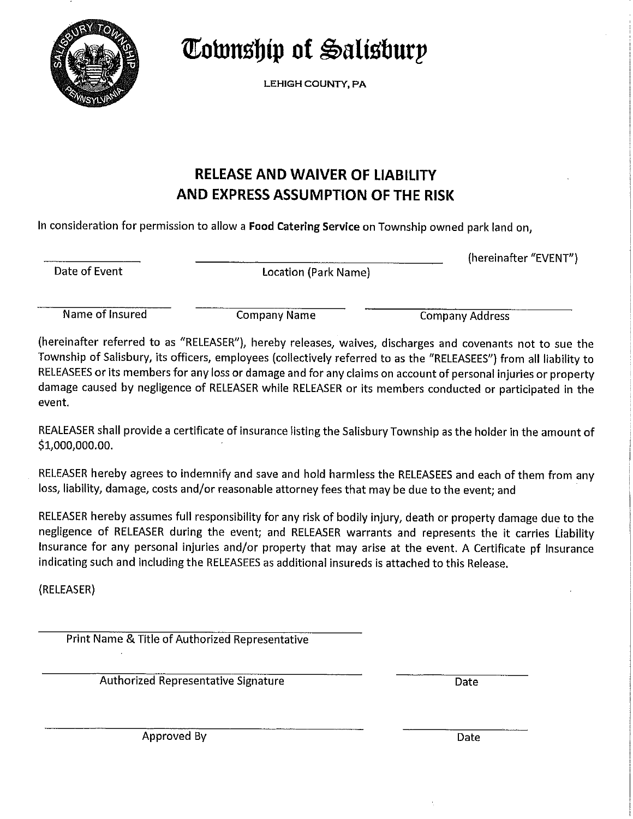

**~ownsbip of ~alisburp** 

LEHIGH COUNTY, PA

# **RELEASE AND WAIVER OF LIABILITY AND EXPRESS ASSUMPTION OF THE RISK**

In consideration for permission to allow a **Food Catering Service** on Township owned park land on,

Date of Event **Location** (Park Name)

(hereinafter "EVENT")

Name of Insured **Company Name** Company Company Address

(hereinafter referred to as "RELEASER"), hereby releases, waives, discharges and covenants not to sue the Township of Salisbury, its officers, employees (collectively referred to as the "RELEASEES") from all liability to RELEASEES or its members for any loss or damage and for any claims on account of personal injuries or property damage caused by negligence of RELEASER while RELEASER or its members conducted or participated in the event.

REALEASER shall provide a certificate of insurance listing the Salisbury Township as the holder in the amount of \$1,000,000.00.

RELEASER hereby agrees to indemnify and save and hold harmless the RELEASEES and each of them from any loss, liability, damage, costs and/or reasonable attorney fees that may be due to the event; and

RELEASER hereby assumes full responsibility for any risk of bodily injury, death or property damage due to the negligence of RELEASER during the event; and RELEASER warrants and represents the it carries Liability Insurance for any personal injuries and/or property that may arise at the event. A Certificate pf Insurance indicating such and including the RELEASEES as additional insureds is attached to this Release.

(RELEASER)

Print Name & Title of Authorized Representative

Authorized Representative Signature **Date** Date

Approved By Date Date Communication of the Date Date